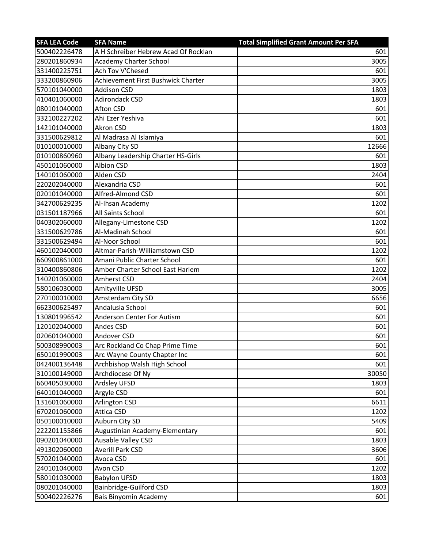| <b>SFA LEA Code</b> | <b>SFA Name</b>                      | <b>Total Simplified Grant Amount Per SFA</b> |
|---------------------|--------------------------------------|----------------------------------------------|
| 500402226478        | A H Schreiber Hebrew Acad Of Rocklan | 601                                          |
| 280201860934        | <b>Academy Charter School</b>        | 3005                                         |
| 331400225751        | Ach Tov V'Chesed                     | 601                                          |
| 333200860906        | Achievement First Bushwick Charter   | 3005                                         |
| 570101040000        | <b>Addison CSD</b>                   | 1803                                         |
| 410401060000        | <b>Adirondack CSD</b>                | 1803                                         |
| 080101040000        | <b>Afton CSD</b>                     | 601                                          |
| 332100227202        | Ahi Ezer Yeshiva                     | 601                                          |
| 142101040000        | <b>Akron CSD</b>                     | 1803                                         |
| 331500629812        | Al Madrasa Al Islamiya               | 601                                          |
| 010100010000        | Albany City SD                       | 12666                                        |
| 010100860960        | Albany Leadership Charter HS-Girls   | 601                                          |
| 450101060000        | Albion CSD                           | 1803                                         |
| 140101060000        | Alden CSD                            | 2404                                         |
| 220202040000        | Alexandria CSD                       | 601                                          |
| 020101040000        | Alfred-Almond CSD                    | 601                                          |
| 342700629235        | Al-Ihsan Academy                     | 1202                                         |
| 031501187966        | All Saints School                    | 601                                          |
| 040302060000        | Allegany-Limestone CSD               | 1202                                         |
| 331500629786        | Al-Madinah School                    | 601                                          |
| 331500629494        | Al-Noor School                       | 601                                          |
| 460102040000        | Altmar-Parish-Williamstown CSD       | 1202                                         |
| 660900861000        | Amani Public Charter School          | 601                                          |
| 310400860806        | Amber Charter School East Harlem     | 1202                                         |
| 140201060000        | Amherst CSD                          | 2404                                         |
| 580106030000        | Amityville UFSD                      | 3005                                         |
| 270100010000        | Amsterdam City SD                    | 6656                                         |
| 662300625497        | Andalusia School                     | 601                                          |
| 130801996542        | Anderson Center For Autism           | 601                                          |
| 120102040000        | Andes CSD                            | 601                                          |
| 020601040000        | Andover CSD                          | 601                                          |
| 500308990003        | Arc Rockland Co Chap Prime Time      | 601                                          |
| 650101990003        | Arc Wayne County Chapter Inc         | 601                                          |
| 042400136448        | Archbishop Walsh High School         | 601                                          |
| 310100149000        | Archdiocese Of Ny                    | 30050                                        |
| 660405030000        | Ardsley UFSD                         | 1803                                         |
| 640101040000        | Argyle CSD                           | 601                                          |
| 131601060000        | Arlington CSD                        | 6611                                         |
| 670201060000        | <b>Attica CSD</b>                    | 1202                                         |
| 050100010000        | Auburn City SD                       | 5409                                         |
| 222201155866        | Augustinian Academy-Elementary       | 601                                          |
| 090201040000        | Ausable Valley CSD                   | 1803                                         |
| 491302060000        | Averill Park CSD                     | 3606                                         |
| 570201040000        | Avoca CSD                            | 601                                          |
| 240101040000        | Avon CSD                             | 1202                                         |
| 580101030000        | <b>Babylon UFSD</b>                  | 1803                                         |
| 080201040000        | Bainbridge-Guilford CSD              | 1803                                         |
| 500402226276        | Bais Binyomin Academy                | 601                                          |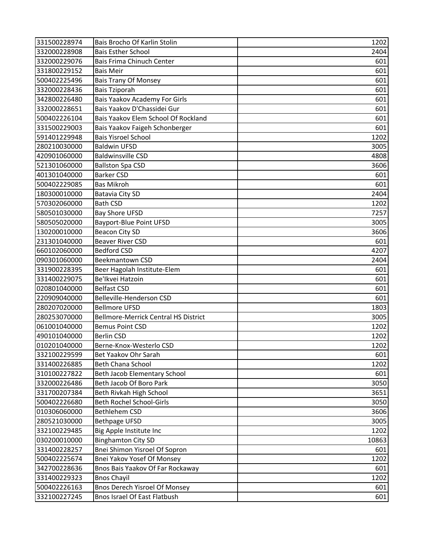| 331500228974 | Bais Brocho Of Karlin Stolin                | 1202  |
|--------------|---------------------------------------------|-------|
| 332000228908 | <b>Bais Esther School</b>                   | 2404  |
| 332000229076 | Bais Frima Chinuch Center                   | 601   |
| 331800229152 | <b>Bais Meir</b>                            | 601   |
| 500402225496 | <b>Bais Trany Of Monsey</b>                 | 601   |
| 332000228436 | <b>Bais Tziporah</b>                        | 601   |
| 342800226480 | Bais Yaakov Academy For Girls               | 601   |
| 332000228651 | Bais Yaakov D'Chassidei Gur                 | 601   |
| 500402226104 | Bais Yaakov Elem School Of Rockland         | 601   |
| 331500229003 | Bais Yaakov Faigeh Schonberger              | 601   |
| 591401229948 | <b>Bais Yisroel School</b>                  | 1202  |
| 280210030000 | <b>Baldwin UFSD</b>                         | 3005  |
| 420901060000 | <b>Baldwinsville CSD</b>                    | 4808  |
| 521301060000 | <b>Ballston Spa CSD</b>                     | 3606  |
| 401301040000 | <b>Barker CSD</b>                           | 601   |
| 500402229085 | <b>Bas Mikroh</b>                           | 601   |
| 180300010000 | Batavia City SD                             | 2404  |
| 570302060000 | <b>Bath CSD</b>                             | 1202  |
| 580501030000 | <b>Bay Shore UFSD</b>                       | 7257  |
| 580505020000 | Bayport-Blue Point UFSD                     | 3005  |
| 130200010000 | <b>Beacon City SD</b>                       | 3606  |
| 231301040000 | <b>Beaver River CSD</b>                     | 601   |
| 660102060000 | <b>Bedford CSD</b>                          | 4207  |
| 090301060000 | Beekmantown CSD                             | 2404  |
| 331900228395 | Beer Hagolah Institute-Elem                 | 601   |
| 331400229075 | Be'lkvei Hatzoin                            | 601   |
| 020801040000 | <b>Belfast CSD</b>                          | 601   |
| 220909040000 | Belleville-Henderson CSD                    | 601   |
| 280207020000 | <b>Bellmore UFSD</b>                        | 1803  |
| 280253070000 | <b>Bellmore-Merrick Central HS District</b> | 3005  |
| 061001040000 | <b>Bemus Point CSD</b>                      | 1202  |
| 490101040000 | <b>Berlin CSD</b>                           | 1202  |
| 010201040000 | Berne-Knox-Westerlo CSD                     | 1202  |
| 332100229599 | Bet Yaakov Ohr Sarah                        | 601   |
| 331400226885 | <b>Beth Chana School</b>                    | 1202  |
| 310100227822 | Beth Jacob Elementary School                | 601   |
| 332000226486 | Beth Jacob Of Boro Park                     | 3050  |
| 331700207384 | Beth Rivkah High School                     | 3651  |
| 500402226680 | Beth Rochel School-Girls                    | 3050  |
| 010306060000 | <b>Bethlehem CSD</b>                        | 3606  |
| 280521030000 | <b>Bethpage UFSD</b>                        | 3005  |
| 332100229485 | Big Apple Institute Inc                     | 1202  |
| 030200010000 | <b>Binghamton City SD</b>                   | 10863 |
| 331400228257 | Bnei Shimon Yisroel Of Sopron               | 601   |
| 500402225674 | Bnei Yakov Yosef Of Monsey                  | 1202  |
| 342700228636 | Bnos Bais Yaakov Of Far Rockaway            | 601   |
| 331400229323 | <b>Bnos Chayil</b>                          | 1202  |
| 500402226163 | <b>Bnos Derech Yisroel Of Monsey</b>        | 601   |
| 332100227245 | Bnos Israel Of East Flatbush                | 601   |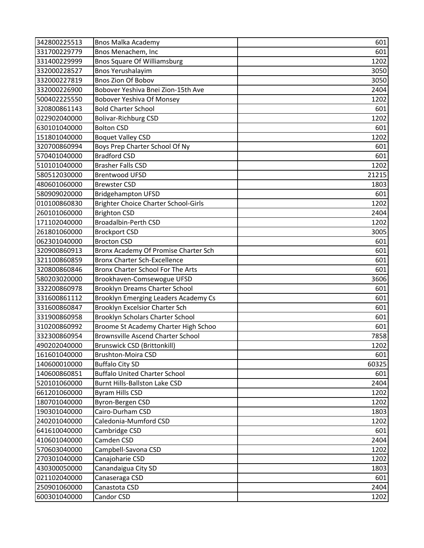| 342800225513 | <b>Bnos Malka Academy</b>                | 601   |
|--------------|------------------------------------------|-------|
| 331700229779 | Bnos Menachem, Inc                       | 601   |
| 331400229999 | <b>Bnos Square Of Williamsburg</b>       | 1202  |
| 332000228527 | <b>Bnos Yerushalayim</b>                 | 3050  |
| 332000227819 | <b>Bnos Zion Of Bobov</b>                | 3050  |
| 332000226900 | Bobover Yeshiva Bnei Zion-15th Ave       | 2404  |
| 500402225550 | Bobover Yeshiva Of Monsey                | 1202  |
| 320800861143 | <b>Bold Charter School</b>               | 601   |
| 022902040000 | <b>Bolivar-Richburg CSD</b>              | 1202  |
| 630101040000 | <b>Bolton CSD</b>                        | 601   |
| 151801040000 | <b>Boquet Valley CSD</b>                 | 1202  |
| 320700860994 | Boys Prep Charter School Of Ny           | 601   |
| 570401040000 | <b>Bradford CSD</b>                      | 601   |
| 510101040000 | <b>Brasher Falls CSD</b>                 | 1202  |
| 580512030000 | <b>Brentwood UFSD</b>                    | 21215 |
| 480601060000 | <b>Brewster CSD</b>                      | 1803  |
| 580909020000 | <b>Bridgehampton UFSD</b>                | 601   |
| 010100860830 | Brighter Choice Charter School-Girls     | 1202  |
| 260101060000 | <b>Brighton CSD</b>                      | 2404  |
| 171102040000 | <b>Broadalbin-Perth CSD</b>              | 1202  |
| 261801060000 | <b>Brockport CSD</b>                     | 3005  |
| 062301040000 | <b>Brocton CSD</b>                       | 601   |
| 320900860913 | Bronx Academy Of Promise Charter Sch     | 601   |
| 321100860859 | <b>Bronx Charter Sch-Excellence</b>      | 601   |
| 320800860846 | Bronx Charter School For The Arts        | 601   |
| 580203020000 | Brookhaven-Comsewogue UFSD               | 3606  |
| 332200860978 | Brooklyn Dreams Charter School           | 601   |
| 331600861112 | Brooklyn Emerging Leaders Academy Cs     | 601   |
| 331600860847 | Brooklyn Excelsior Charter Sch           | 601   |
| 331900860958 | Brooklyn Scholars Charter School         | 601   |
| 310200860992 | Broome St Academy Charter High Schoo     | 601   |
| 332300860954 | <b>Brownsville Ascend Charter School</b> | 7858  |
| 490202040000 | <b>Brunswick CSD (Brittonkill)</b>       | 1202  |
| 161601040000 | Brushton-Moira CSD                       | 601   |
| 140600010000 | <b>Buffalo City SD</b>                   | 60325 |
| 140600860851 | <b>Buffalo United Charter School</b>     | 601   |
| 520101060000 | Burnt Hills-Ballston Lake CSD            | 2404  |
| 661201060000 | <b>Byram Hills CSD</b>                   | 1202  |
| 180701040000 | Byron-Bergen CSD                         | 1202  |
| 190301040000 | Cairo-Durham CSD                         | 1803  |
| 240201040000 | Caledonia-Mumford CSD                    | 1202  |
| 641610040000 | Cambridge CSD                            | 601   |
| 410601040000 | Camden CSD                               | 2404  |
| 570603040000 | Campbell-Savona CSD                      | 1202  |
| 270301040000 | Canajoharie CSD                          | 1202  |
| 430300050000 | Canandaigua City SD                      | 1803  |
| 021102040000 | Canaseraga CSD                           | 601   |
| 250901060000 | Canastota CSD                            | 2404  |
| 600301040000 | Candor CSD                               | 1202  |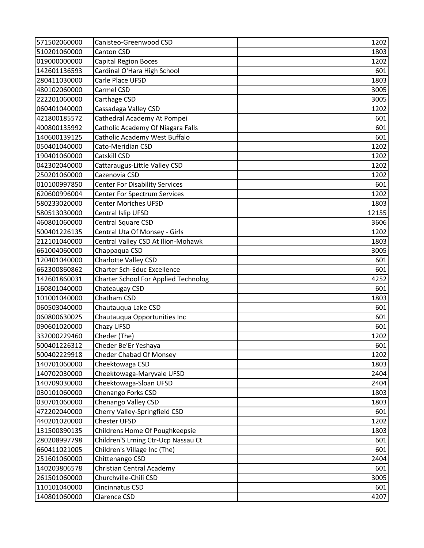| 571502060000 | Canisteo-Greenwood CSD                      | 1202  |
|--------------|---------------------------------------------|-------|
| 510201060000 | <b>Canton CSD</b>                           | 1803  |
| 019000000000 | <b>Capital Region Boces</b>                 | 1202  |
| 142601136593 | Cardinal O'Hara High School                 | 601   |
| 280411030000 | Carle Place UFSD                            | 1803  |
| 480102060000 | Carmel CSD                                  | 3005  |
| 222201060000 | Carthage CSD                                | 3005  |
| 060401040000 | Cassadaga Valley CSD                        | 1202  |
| 421800185572 | Cathedral Academy At Pompei                 | 601   |
| 400800135992 | Catholic Academy Of Niagara Falls           | 601   |
| 140600139125 | Catholic Academy West Buffalo               | 601   |
| 050401040000 | Cato-Meridian CSD                           | 1202  |
| 190401060000 | Catskill CSD                                | 1202  |
| 042302040000 | Cattaraugus-Little Valley CSD               | 1202  |
| 250201060000 | Cazenovia CSD                               | 1202  |
| 010100997850 | <b>Center For Disability Services</b>       | 601   |
| 620600996004 | <b>Center For Spectrum Services</b>         | 1202  |
| 580233020000 | <b>Center Moriches UFSD</b>                 | 1803  |
| 580513030000 | Central Islip UFSD                          | 12155 |
| 460801060000 | Central Square CSD                          | 3606  |
| 500401226135 | Central Uta Of Monsey - Girls               | 1202  |
| 212101040000 | Central Valley CSD At Ilion-Mohawk          | 1803  |
| 661004060000 | Chappaqua CSD                               | 3005  |
| 120401040000 | Charlotte Valley CSD                        | 601   |
| 662300860862 | <b>Charter Sch-Educ Excellence</b>          | 601   |
| 142601860031 | <b>Charter School For Applied Technolog</b> | 4252  |
| 160801040000 | Chateaugay CSD                              | 601   |
| 101001040000 | Chatham CSD                                 | 1803  |
| 060503040000 | Chautauqua Lake CSD                         | 601   |
| 060800630025 | Chautauqua Opportunities Inc                | 601   |
| 090601020000 | Chazy UFSD                                  | 601   |
| 332000229460 | Cheder (The)                                | 1202  |
| 500401226312 | Cheder Be'Er Yeshaya                        | 601   |
| 500402229918 | Cheder Chabad Of Monsey                     | 1202  |
| 140701060000 | Cheektowaga CSD                             | 1803  |
| 140702030000 | Cheektowaga-Maryvale UFSD                   | 2404  |
| 140709030000 | Cheektowaga-Sloan UFSD                      | 2404  |
| 030101060000 | Chenango Forks CSD                          | 1803  |
| 030701060000 | Chenango Valley CSD                         | 1803  |
| 472202040000 | Cherry Valley-Springfield CSD               | 601   |
| 440201020000 | <b>Chester UFSD</b>                         | 1202  |
| 131500890135 | Childrens Home Of Poughkeepsie              | 1803  |
| 280208997798 | Children'S Lrning Ctr-Ucp Nassau Ct         | 601   |
| 660411021005 | Children's Village Inc (The)                | 601   |
| 251601060000 | Chittenango CSD                             | 2404  |
| 140203806578 | Christian Central Academy                   | 601   |
| 261501060000 | Churchville-Chili CSD                       | 3005  |
| 110101040000 | Cincinnatus CSD                             | 601   |
| 140801060000 | Clarence CSD                                | 4207  |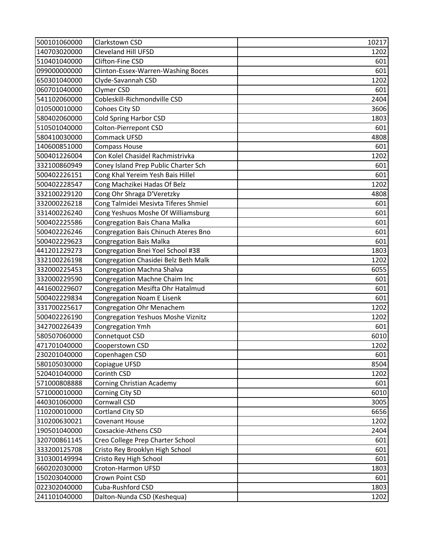| 500101060000 | Clarkstown CSD                       | 10217 |
|--------------|--------------------------------------|-------|
| 140703020000 | <b>Cleveland Hill UFSD</b>           | 1202  |
| 510401040000 | Clifton-Fine CSD                     | 601   |
| 099000000000 | Clinton-Essex-Warren-Washing Boces   | 601   |
| 650301040000 | Clyde-Savannah CSD                   | 1202  |
| 060701040000 | Clymer CSD                           | 601   |
| 541102060000 | Cobleskill-Richmondville CSD         | 2404  |
| 010500010000 | Cohoes City SD                       | 3606  |
| 580402060000 | <b>Cold Spring Harbor CSD</b>        | 1803  |
| 510501040000 | Colton-Pierrepont CSD                | 601   |
| 580410030000 | Commack UFSD                         | 4808  |
| 140600851000 | Compass House                        | 601   |
| 500401226004 | Con Kolel Chasidel Rachmistrivka     | 1202  |
| 332100860949 | Coney Island Prep Public Charter Sch | 601   |
| 500402226151 | Cong Khal Yereim Yesh Bais Hillel    | 601   |
| 500402228547 | Cong Machzikei Hadas Of Belz         | 1202  |
| 332100229120 | Cong Ohr Shraga D'Veretzky           | 4808  |
| 332000226218 | Cong Talmidei Mesivta Tiferes Shmiel | 601   |
| 331400226240 | Cong Yeshuos Moshe Of Williamsburg   | 601   |
| 500402225586 | Congregation Bais Chana Malka        | 601   |
| 500402226246 | Congregation Bais Chinuch Ateres Bno | 601   |
| 500402229623 | <b>Congregation Bais Malka</b>       | 601   |
| 441201229273 | Congregation Bnei Yoel School #38    | 1803  |
| 332100226198 | Congregation Chasidei Belz Beth Malk | 1202  |
| 332000225453 | Congregation Machna Shalva           | 6055  |
| 332000229590 | Congregation Machne Chaim Inc        | 601   |
| 441600229607 | Congregation Mesifta Ohr Hatalmud    | 601   |
| 500402229834 | Congregation Noam E Lisenk           | 601   |
| 331700225617 | Congregation Ohr Menachem            | 1202  |
| 500402226190 | Congregation Yeshuos Moshe Viznitz   | 1202  |
| 342700226439 | <b>Congregation Ymh</b>              | 601   |
| 580507060000 | Connetquot CSD                       | 6010  |
| 471701040000 | Cooperstown CSD                      | 1202  |
| 230201040000 | Copenhagen CSD                       | 601   |
| 580105030000 | Copiague UFSD                        | 8504  |
| 520401040000 | Corinth CSD                          | 1202  |
| 571000808888 | Corning Christian Academy            | 601   |
| 571000010000 | Corning City SD                      | 6010  |
| 440301060000 | Cornwall CSD                         | 3005  |
| 110200010000 | Cortland City SD                     | 6656  |
| 310200630021 | Covenant House                       | 1202  |
| 190501040000 | Coxsackie-Athens CSD                 | 2404  |
| 320700861145 | Creo College Prep Charter School     | 601   |
| 333200125708 | Cristo Rey Brooklyn High School      | 601   |
| 310300149994 | Cristo Rey High School               | 601   |
| 660202030000 | Croton-Harmon UFSD                   | 1803  |
| 150203040000 | Crown Point CSD                      | 601   |
| 022302040000 | Cuba-Rushford CSD                    | 1803  |
| 241101040000 | Dalton-Nunda CSD (Keshequa)          | 1202  |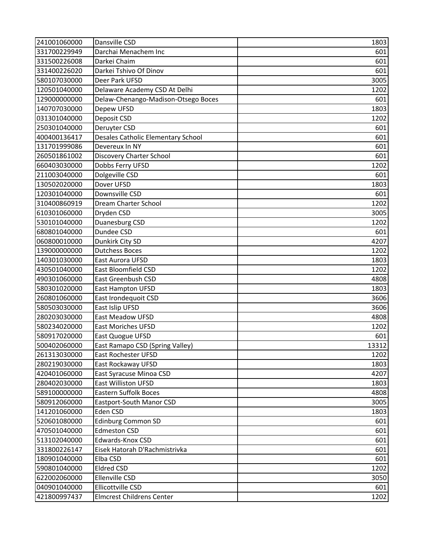| 241001060000 | Dansville CSD                       | 1803  |
|--------------|-------------------------------------|-------|
| 331700229949 | Darchai Menachem Inc                | 601   |
| 331500226008 | Darkei Chaim                        | 601   |
| 331400226020 | Darkei Tshivo Of Dinov              | 601   |
| 580107030000 | Deer Park UFSD                      | 3005  |
| 120501040000 | Delaware Academy CSD At Delhi       | 1202  |
| 129000000000 | Delaw-Chenango-Madison-Otsego Boces | 601   |
| 140707030000 | Depew UFSD                          | 1803  |
| 031301040000 | Deposit CSD                         | 1202  |
| 250301040000 | Deruyter CSD                        | 601   |
| 400400136417 | Desales Catholic Elementary School  | 601   |
| 131701999086 | Devereux In NY                      | 601   |
| 260501861002 | Discovery Charter School            | 601   |
| 660403030000 | Dobbs Ferry UFSD                    | 1202  |
| 211003040000 | Dolgeville CSD                      | 601   |
| 130502020000 | Dover UFSD                          | 1803  |
| 120301040000 | Downsville CSD                      | 601   |
| 310400860919 | Dream Charter School                | 1202  |
| 610301060000 | Dryden CSD                          | 3005  |
| 530101040000 | Duanesburg CSD                      | 1202  |
| 680801040000 | Dundee CSD                          | 601   |
| 060800010000 | Dunkirk City SD                     | 4207  |
| 139000000000 | <b>Dutchess Boces</b>               | 1202  |
| 140301030000 | East Aurora UFSD                    | 1803  |
| 430501040000 | East Bloomfield CSD                 | 1202  |
| 490301060000 | East Greenbush CSD                  | 4808  |
| 580301020000 | East Hampton UFSD                   | 1803  |
| 260801060000 | East Irondequoit CSD                | 3606  |
| 580503030000 | East Islip UFSD                     | 3606  |
| 280203030000 | <b>East Meadow UFSD</b>             | 4808  |
| 580234020000 | <b>East Moriches UFSD</b>           | 1202  |
| 580917020000 | East Quogue UFSD                    | 601   |
| 500402060000 | East Ramapo CSD (Spring Valley)     | 13312 |
| 261313030000 | East Rochester UFSD                 | 1202  |
| 280219030000 | East Rockaway UFSD                  | 1803  |
| 420401060000 | East Syracuse Minoa CSD             | 4207  |
| 280402030000 | <b>East Williston UFSD</b>          | 1803  |
| 589100000000 | <b>Eastern Suffolk Boces</b>        | 4808  |
| 580912060000 | Eastport-South Manor CSD            | 3005  |
| 141201060000 | Eden CSD                            | 1803  |
| 520601080000 | <b>Edinburg Common SD</b>           | 601   |
| 470501040000 | <b>Edmeston CSD</b>                 | 601   |
| 513102040000 | Edwards-Knox CSD                    | 601   |
| 331800226147 | Eisek Hatorah D'Rachmistrivka       | 601   |
| 180901040000 | Elba CSD                            | 601   |
| 590801040000 | <b>Eldred CSD</b>                   | 1202  |
| 622002060000 | Ellenville CSD                      | 3050  |
| 040901040000 | Ellicottville CSD                   | 601   |
| 421800997437 | <b>Elmcrest Childrens Center</b>    | 1202  |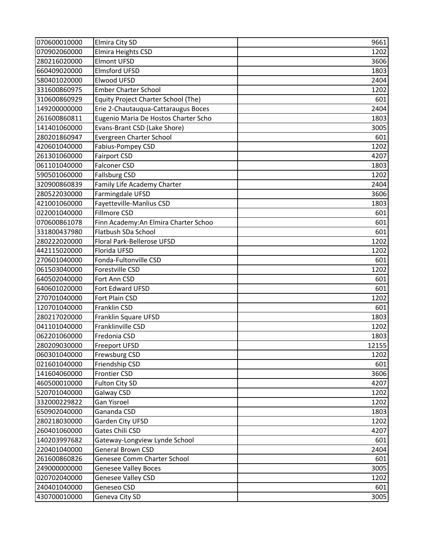| 070600010000 | Elmira City SD                        | 9661  |
|--------------|---------------------------------------|-------|
| 070902060000 | Elmira Heights CSD                    | 1202  |
| 280216020000 | Elmont UFSD                           | 3606  |
| 660409020000 | <b>Elmsford UFSD</b>                  | 1803  |
| 580401020000 | Elwood UFSD                           | 2404  |
| 331600860975 | <b>Ember Charter School</b>           | 1202  |
| 310600860929 | Equity Project Charter School (The)   | 601   |
| 149200000000 | Erie 2-Chautauqua-Cattaraugus Boces   | 2404  |
| 261600860811 | Eugenio Maria De Hostos Charter Scho  | 1803  |
| 141401060000 | Evans-Brant CSD (Lake Shore)          | 3005  |
| 280201860947 | Evergreen Charter School              | 601   |
| 420601040000 | Fabius-Pompey CSD                     | 1202  |
| 261301060000 | <b>Fairport CSD</b>                   | 4207  |
| 061101040000 | <b>Falconer CSD</b>                   | 1803  |
| 590501060000 | <b>Fallsburg CSD</b>                  | 1202  |
| 320900860839 | Family Life Academy Charter           | 2404  |
| 280522030000 | Farmingdale UFSD                      | 3606  |
| 421001060000 | Fayetteville-Manlius CSD              | 1803  |
| 022001040000 | Fillmore CSD                          | 601   |
| 070600861078 | Finn Academy: An Elmira Charter Schoo | 601   |
| 331800437980 | Flatbush SDa School                   | 601   |
| 280222020000 | Floral Park-Bellerose UFSD            | 1202  |
| 442115020000 | Florida UFSD                          | 1202  |
| 270601040000 | Fonda-Fultonville CSD                 | 601   |
| 061503040000 | Forestville CSD                       | 1202  |
| 640502040000 | Fort Ann CSD                          | 601   |
| 640601020000 | Fort Edward UFSD                      | 601   |
| 270701040000 | Fort Plain CSD                        | 1202  |
| 120701040000 | Franklin CSD                          | 601   |
| 280217020000 | Franklin Square UFSD                  | 1803  |
| 041101040000 | Franklinville CSD                     | 1202  |
| 062201060000 | Fredonia CSD                          | 1803  |
| 280209030000 | <b>Freeport UFSD</b>                  | 12155 |
| 060301040000 | Frewsburg CSD                         | 1202  |
| 021601040000 | Friendship CSD                        | 601   |
| 141604060000 | Frontier CSD                          | 3606  |
| 460500010000 | Fulton City SD                        | 4207  |
| 520701040000 | Galway CSD                            | 1202  |
| 332000229822 | Gan Yisroel                           | 1202  |
| 650902040000 | Gananda CSD                           | 1803  |
| 280218030000 | Garden City UFSD                      | 1202  |
| 260401060000 | Gates Chili CSD                       | 4207  |
| 140203997682 | Gateway-Longview Lynde School         | 601   |
| 220401040000 | General Brown CSD                     | 2404  |
| 261600860826 | Genesee Comm Charter School           | 601   |
| 249000000000 | <b>Genesee Valley Boces</b>           | 3005  |
| 020702040000 | <b>Genesee Valley CSD</b>             | 1202  |
| 240401040000 | Geneseo CSD                           | 601   |
| 430700010000 | Geneva City SD                        | 3005  |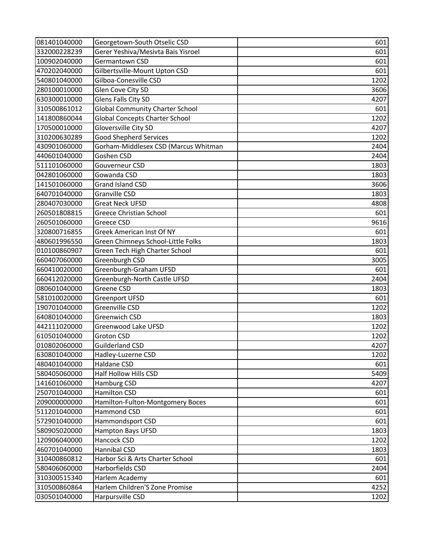| 081401040000 | Georgetown-South Otselic CSD           | 601  |
|--------------|----------------------------------------|------|
| 332000228239 | Gerer Yeshiva/Mesivta Bais Yisroel     | 601  |
| 100902040000 | Germantown CSD                         | 601  |
| 470202040000 | Gilbertsville-Mount Upton CSD          | 601  |
| 540801040000 | Gilboa-Conesville CSD                  | 1202 |
| 280100010000 | Glen Cove City SD                      | 3606 |
| 630300010000 | Glens Falls City SD                    | 4207 |
| 310500861012 | <b>Global Community Charter School</b> | 601  |
| 141800860044 | <b>Global Concepts Charter School</b>  | 1202 |
| 170500010000 | Gloversville City SD                   | 4207 |
| 310200630289 | <b>Good Shepherd Services</b>          | 1202 |
| 430901060000 | Gorham-Middlesex CSD (Marcus Whitman   | 2404 |
| 440601040000 | Goshen CSD                             | 2404 |
| 511101060000 | Gouverneur CSD                         | 1803 |
| 042801060000 | Gowanda CSD                            | 1803 |
| 141501060000 | <b>Grand Island CSD</b>                | 3606 |
| 640701040000 | <b>Granville CSD</b>                   | 1803 |
| 280407030000 | <b>Great Neck UFSD</b>                 | 4808 |
| 260501808815 | <b>Greece Christian School</b>         | 601  |
| 260501060000 | Greece CSD                             | 9616 |
| 320800716855 | Greek American Inst Of NY              | 601  |
| 480601996550 | Green Chimneys School-Little Folks     | 1803 |
| 010100860907 | Green Tech High Charter School         | 601  |
| 660407060000 | Greenburgh CSD                         | 3005 |
| 660410020000 | Greenburgh-Graham UFSD                 | 601  |
| 660412020000 | Greenburgh-North Castle UFSD           | 2404 |
| 080601040000 | Greene CSD                             | 1803 |
| 581010020000 | <b>Greenport UFSD</b>                  | 601  |
| 190701040000 | Greenville CSD                         | 1202 |
| 640801040000 | Greenwich CSD                          | 1803 |
| 442111020000 | Greenwood Lake UFSD                    | 1202 |
| 610501040000 | <b>Groton CSD</b>                      | 1202 |
| 010802060000 | <b>Guilderland CSD</b>                 | 4207 |
| 630801040000 | Hadley-Luzerne CSD                     | 1202 |
| 480401040000 | Haldane CSD                            | 601  |
| 580405060000 | <b>Half Hollow Hills CSD</b>           | 5409 |
| 141601060000 | Hamburg CSD                            | 4207 |
| 250701040000 | <b>Hamilton CSD</b>                    | 601  |
| 209000000000 | Hamilton-Fulton-Montgomery Boces       | 601  |
| 511201040000 | Hammond CSD                            | 601  |
| 572901040000 | Hammondsport CSD                       | 601  |
| 580905020000 | Hampton Bays UFSD                      | 1803 |
| 120906040000 | Hancock CSD                            | 1202 |
| 460701040000 | Hannibal CSD                           | 1803 |
| 310400860812 | Harbor Sci & Arts Charter School       | 601  |
| 580406060000 | Harborfields CSD                       | 2404 |
| 310300515340 | Harlem Academy                         | 601  |
| 310500860864 | Harlem Children'S Zone Promise         | 4252 |
| 030501040000 | Harpursville CSD                       | 1202 |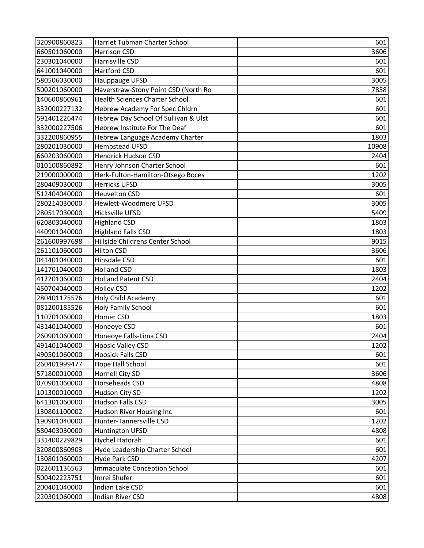| 320900860823 | Harriet Tubman Charter School         | 601   |
|--------------|---------------------------------------|-------|
| 660501060000 | Harrison CSD                          | 3606  |
| 230301040000 | Harrisville CSD                       | 601   |
| 641001040000 | <b>Hartford CSD</b>                   | 601   |
| 580506030000 | Hauppauge UFSD                        | 3005  |
| 500201060000 | Haverstraw-Stony Point CSD (North Ro  | 7858  |
| 140600860961 | <b>Health Sciences Charter School</b> | 601   |
| 332000227132 | Hebrew Academy For Spec Chldrn        | 601   |
| 591401226474 | Hebrew Day School Of Sullivan & Ulst  | 601   |
| 332000227506 | Hebrew Institute For The Deaf         | 601   |
| 332200860955 | Hebrew Language Academy Charter       | 1803  |
| 280201030000 | <b>Hempstead UFSD</b>                 | 10908 |
| 660203060000 | <b>Hendrick Hudson CSD</b>            | 2404  |
| 010100860892 | Henry Johnson Charter School          | 601   |
| 219000000000 | Herk-Fulton-Hamilton-Otsego Boces     | 1202  |
| 280409030000 | <b>Herricks UFSD</b>                  | 3005  |
| 512404040000 | <b>Heuvelton CSD</b>                  | 601   |
| 280214030000 | Hewlett-Woodmere UFSD                 | 3005  |
| 280517030000 | Hicksville UFSD                       | 5409  |
| 620803040000 | <b>Highland CSD</b>                   | 1803  |
| 440901040000 | <b>Highland Falls CSD</b>             | 1803  |
| 261600997698 | Hillside Childrens Center School      | 9015  |
| 261101060000 | <b>Hilton CSD</b>                     | 3606  |
| 041401040000 | Hinsdale CSD                          | 601   |
| 141701040000 | <b>Holland CSD</b>                    | 1803  |
| 412201060000 | <b>Holland Patent CSD</b>             | 2404  |
| 450704040000 | <b>Holley CSD</b>                     | 1202  |
| 280401175576 | Holy Child Academy                    | 601   |
| 081200185526 | <b>Holy Family School</b>             | 601   |
| 110701060000 | Homer CSD                             | 1803  |
| 431401040000 | Honeoye CSD                           | 601   |
| 260901060000 | Honeoye Falls-Lima CSD                | 2404  |
| 491401040000 | <b>Hoosic Valley CSD</b>              | 1202  |
| 490501060000 | <b>Hoosick Falls CSD</b>              | 601   |
| 260401999477 | Hope Hall School                      | 601   |
| 571800010000 | Hornell City SD                       | 3606  |
| 070901060000 | Horseheads CSD                        | 4808  |
| 101300010000 | Hudson City SD                        | 1202  |
| 641301060000 | <b>Hudson Falls CSD</b>               | 3005  |
| 130801100002 | Hudson River Housing Inc              | 601   |
| 190901040000 | Hunter-Tannersville CSD               | 1202  |
| 580403030000 | <b>Huntington UFSD</b>                | 4808  |
| 331400229829 | Hychel Hatorah                        | 601   |
| 320800860903 | Hyde Leadership Charter School        | 601   |
| 130801060000 | Hyde Park CSD                         | 4207  |
| 022601136563 | <b>Immaculate Conception School</b>   | 601   |
| 500402225751 | Imrei Shufer                          | 601   |
| 200401040000 | Indian Lake CSD                       | 601   |
| 220301060000 | Indian River CSD                      | 4808  |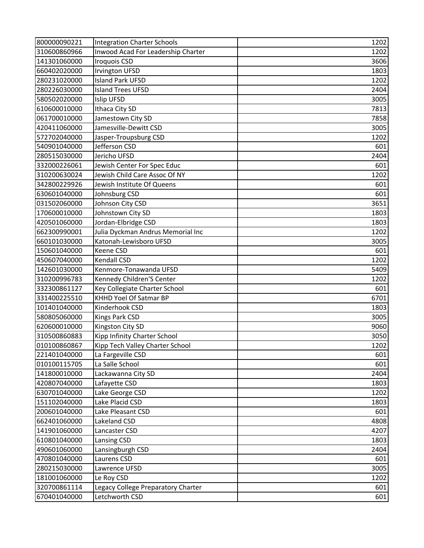| 800000090221 | <b>Integration Charter Schools</b> | 1202 |
|--------------|------------------------------------|------|
| 310600860966 | Inwood Acad For Leadership Charter | 1202 |
| 141301060000 | <b>Iroquois CSD</b>                | 3606 |
| 660402020000 | <b>Irvington UFSD</b>              | 1803 |
| 280231020000 | <b>Island Park UFSD</b>            | 1202 |
| 280226030000 | <b>Island Trees UFSD</b>           | 2404 |
| 580502020000 | Islip UFSD                         | 3005 |
| 610600010000 | Ithaca City SD                     | 7813 |
| 061700010000 | Jamestown City SD                  | 7858 |
| 420411060000 | Jamesville-Dewitt CSD              | 3005 |
| 572702040000 | Jasper-Troupsburg CSD              | 1202 |
| 540901040000 | Jefferson CSD                      | 601  |
| 280515030000 | Jericho UFSD                       | 2404 |
| 332000226061 | Jewish Center For Spec Educ        | 601  |
| 310200630024 | Jewish Child Care Assoc Of NY      | 1202 |
| 342800229926 | Jewish Institute Of Queens         | 601  |
| 630601040000 | Johnsburg CSD                      | 601  |
| 031502060000 | Johnson City CSD                   | 3651 |
| 170600010000 | Johnstown City SD                  | 1803 |
| 420501060000 | Jordan-Elbridge CSD                | 1803 |
| 662300990001 | Julia Dyckman Andrus Memorial Inc  | 1202 |
| 660101030000 | Katonah-Lewisboro UFSD             | 3005 |
| 150601040000 | Keene CSD                          | 601  |
| 450607040000 | <b>Kendall CSD</b>                 | 1202 |
| 142601030000 | Kenmore-Tonawanda UFSD             | 5409 |
| 310200996783 | Kennedy Children'S Center          | 1202 |
| 332300861127 | Key Collegiate Charter School      | 601  |
| 331400225510 | KHHD Yoel Of Satmar BP             | 6701 |
| 101401040000 | Kinderhook CSD                     | 1803 |
| 580805060000 | Kings Park CSD                     | 3005 |
| 620600010000 | Kingston City SD                   | 9060 |
| 310500860883 | Kipp Infinity Charter School       | 3050 |
| 010100860867 | Kipp Tech Valley Charter School    | 1202 |
| 221401040000 | La Fargeville CSD                  | 601  |
| 010100115705 | La Salle School                    | 601  |
| 141800010000 | Lackawanna City SD                 | 2404 |
| 420807040000 | Lafayette CSD                      | 1803 |
| 630701040000 | Lake George CSD                    | 1202 |
| 151102040000 | Lake Placid CSD                    | 1803 |
| 200601040000 | Lake Pleasant CSD                  | 601  |
| 662401060000 | Lakeland CSD                       | 4808 |
| 141901060000 | Lancaster CSD                      | 4207 |
| 610801040000 | Lansing CSD                        | 1803 |
| 490601060000 | Lansingburgh CSD                   | 2404 |
| 470801040000 | Laurens CSD                        | 601  |
| 280215030000 | Lawrence UFSD                      | 3005 |
| 181001060000 | Le Roy CSD                         | 1202 |
| 320700861114 | Legacy College Preparatory Charter | 601  |
| 670401040000 | Letchworth CSD                     | 601  |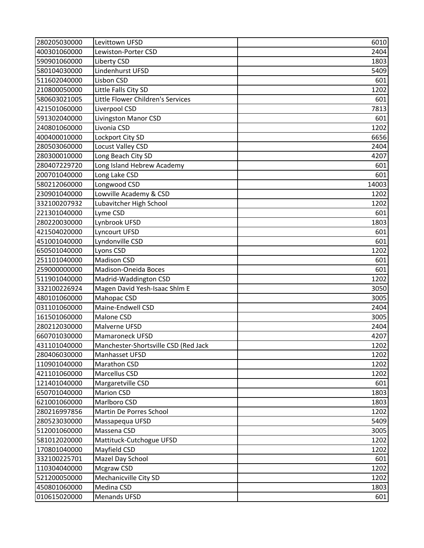| 280205030000 | Levittown UFSD                       | 6010  |
|--------------|--------------------------------------|-------|
| 400301060000 | Lewiston-Porter CSD                  | 2404  |
| 590901060000 | Liberty CSD                          | 1803  |
| 580104030000 | Lindenhurst UFSD                     | 5409  |
| 511602040000 | Lisbon CSD                           | 601   |
| 210800050000 | Little Falls City SD                 | 1202  |
| 580603021005 | Little Flower Children's Services    | 601   |
| 421501060000 | Liverpool CSD                        | 7813  |
| 591302040000 | Livingston Manor CSD                 | 601   |
| 240801060000 | Livonia CSD                          | 1202  |
| 400400010000 | Lockport City SD                     | 6656  |
| 280503060000 | Locust Valley CSD                    | 2404  |
| 280300010000 | Long Beach City SD                   | 4207  |
| 280407229720 | Long Island Hebrew Academy           | 601   |
| 200701040000 | Long Lake CSD                        | 601   |
| 580212060000 | Longwood CSD                         | 14003 |
| 230901040000 | Lowville Academy & CSD               | 1202  |
| 332100207932 | Lubavitcher High School              | 1202  |
| 221301040000 | Lyme CSD                             | 601   |
| 280220030000 | Lynbrook UFSD                        | 1803  |
| 421504020000 | Lyncourt UFSD                        | 601   |
| 451001040000 | Lyndonville CSD                      | 601   |
| 650501040000 | Lyons CSD                            | 1202  |
| 251101040000 | <b>Madison CSD</b>                   | 601   |
| 259000000000 | Madison-Oneida Boces                 | 601   |
| 511901040000 | Madrid-Waddington CSD                | 1202  |
| 332100226924 | Magen David Yesh-Isaac Shlm E        | 3050  |
| 480101060000 | Mahopac CSD                          | 3005  |
| 031101060000 | Maine-Endwell CSD                    | 2404  |
| 161501060000 | Malone CSD                           | 3005  |
| 280212030000 | Malverne UFSD                        | 2404  |
| 660701030000 | <b>Mamaroneck UFSD</b>               | 4207  |
| 431101040000 | Manchester-Shortsville CSD (Red Jack | 1202  |
| 280406030000 | Manhasset UFSD                       | 1202  |
| 110901040000 | Marathon CSD                         | 1202  |
| 421101060000 | Marcellus CSD                        | 1202  |
| 121401040000 | Margaretville CSD                    | 601   |
| 650701040000 | <b>Marion CSD</b>                    | 1803  |
| 621001060000 | Marlboro CSD                         | 1803  |
| 280216997856 | Martin De Porres School              | 1202  |
| 280523030000 | Massapequa UFSD                      | 5409  |
| 512001060000 | Massena CSD                          | 3005  |
| 581012020000 | Mattituck-Cutchogue UFSD             | 1202  |
| 170801040000 | Mayfield CSD                         | 1202  |
| 332100225701 | Mazel Day School                     | 601   |
| 110304040000 | Mcgraw CSD                           | 1202  |
| 521200050000 | Mechanicville City SD                | 1202  |
| 450801060000 | Medina CSD                           | 1803  |
| 010615020000 | <b>Menands UFSD</b>                  | 601   |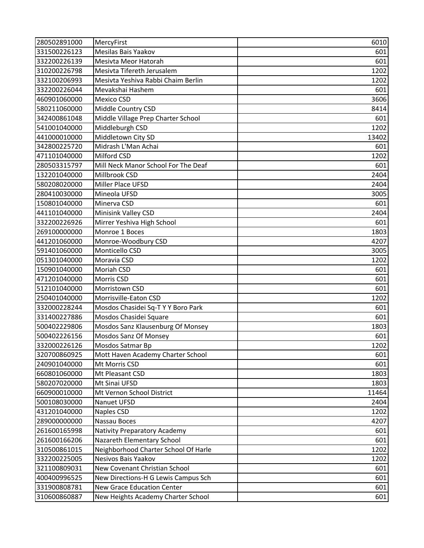| 280502891000 | MercyFirst                           | 6010  |
|--------------|--------------------------------------|-------|
| 331500226123 | Mesilas Bais Yaakov                  | 601   |
| 332200226139 | Mesivta Meor Hatorah                 | 601   |
| 310200226798 | Mesivta Tifereth Jerusalem           | 1202  |
| 332100206993 | Mesivta Yeshiva Rabbi Chaim Berlin   | 1202  |
| 332200226044 | Mevakshai Hashem                     | 601   |
| 460901060000 | <b>Mexico CSD</b>                    | 3606  |
| 580211060000 | Middle Country CSD                   | 8414  |
| 342400861048 | Middle Village Prep Charter School   | 601   |
| 541001040000 | Middleburgh CSD                      | 1202  |
| 441000010000 | Middletown City SD                   | 13402 |
| 342800225720 | Midrash L'Man Achai                  | 601   |
| 471101040000 | Milford CSD                          | 1202  |
| 280503315797 | Mill Neck Manor School For The Deaf  | 601   |
| 132201040000 | Millbrook CSD                        | 2404  |
| 580208020000 | Miller Place UFSD                    | 2404  |
| 280410030000 | Mineola UFSD                         | 3005  |
| 150801040000 | Minerva CSD                          | 601   |
| 441101040000 | Minisink Valley CSD                  | 2404  |
| 332200226926 | Mirrer Yeshiva High School           | 601   |
| 269100000000 | Monroe 1 Boces                       | 1803  |
| 441201060000 | Monroe-Woodbury CSD                  | 4207  |
| 591401060000 | Monticello CSD                       | 3005  |
| 051301040000 | Moravia CSD                          | 1202  |
| 150901040000 | Moriah CSD                           | 601   |
| 471201040000 | Morris CSD                           | 601   |
| 512101040000 | Morristown CSD                       | 601   |
| 250401040000 | Morrisville-Eaton CSD                | 1202  |
| 332000228244 | Mosdos Chasidei Sq-T Y Y Boro Park   | 601   |
| 331400227886 | Mosdos Chasidei Square               | 601   |
| 500402229806 | Mosdos Sanz Klausenburg Of Monsey    | 1803  |
| 500402226156 | Mosdos Sanz Of Monsey                | 601   |
| 332000226126 | Mosdos Satmar Bp                     | 1202  |
| 320700860925 | Mott Haven Academy Charter School    | 601   |
| 240901040000 | Mt Morris CSD                        | 601   |
| 660801060000 | Mt Pleasant CSD                      | 1803  |
| 580207020000 | Mt Sinai UFSD                        | 1803  |
| 660900010000 | Mt Vernon School District            | 11464 |
| 500108030000 | Nanuet UFSD                          | 2404  |
| 431201040000 | Naples CSD                           | 1202  |
| 289000000000 | Nassau Boces                         | 4207  |
| 261600165998 | Nativity Preparatory Academy         | 601   |
| 261600166206 | Nazareth Elementary School           | 601   |
| 310500861015 | Neighborhood Charter School Of Harle | 1202  |
| 332200225005 | Nesivos Bais Yaakov                  | 1202  |
| 321100809031 | New Covenant Christian School        | 601   |
| 400400996525 | New Directions-H G Lewis Campus Sch  | 601   |
| 331900808781 | <b>New Grace Education Center</b>    | 601   |
| 310600860887 | New Heights Academy Charter School   | 601   |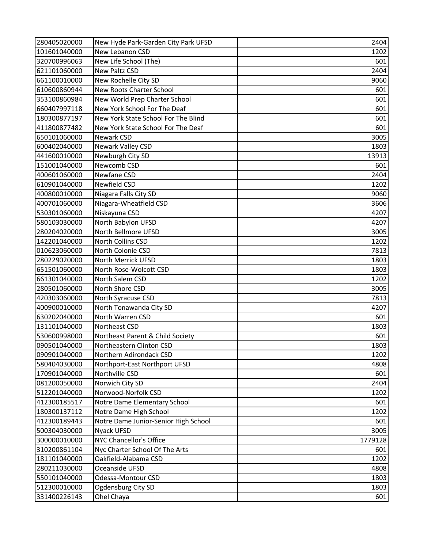| 280405020000 | New Hyde Park-Garden City Park UFSD  | 2404    |
|--------------|--------------------------------------|---------|
| 101601040000 | New Lebanon CSD                      | 1202    |
| 320700996063 | New Life School (The)                | 601     |
| 621101060000 | New Paltz CSD                        | 2404    |
| 661100010000 | New Rochelle City SD                 | 9060    |
| 610600860944 | <b>New Roots Charter School</b>      | 601     |
| 353100860984 | New World Prep Charter School        | 601     |
| 660407997118 | New York School For The Deaf         | 601     |
| 180300877197 | New York State School For The Blind  | 601     |
| 411800877482 | New York State School For The Deaf   | 601     |
| 650101060000 | Newark CSD                           | 3005    |
| 600402040000 | Newark Valley CSD                    | 1803    |
| 441600010000 | Newburgh City SD                     | 13913   |
| 151001040000 | Newcomb CSD                          | 601     |
| 400601060000 | Newfane CSD                          | 2404    |
| 610901040000 | Newfield CSD                         | 1202    |
| 400800010000 | Niagara Falls City SD                | 9060    |
| 400701060000 | Niagara-Wheatfield CSD               | 3606    |
| 530301060000 | Niskayuna CSD                        | 4207    |
| 580103030000 | North Babylon UFSD                   | 4207    |
| 280204020000 | North Bellmore UFSD                  | 3005    |
| 142201040000 | North Collins CSD                    | 1202    |
| 010623060000 | North Colonie CSD                    | 7813    |
| 280229020000 | North Merrick UFSD                   | 1803    |
| 651501060000 | North Rose-Wolcott CSD               | 1803    |
| 661301040000 | North Salem CSD                      | 1202    |
| 280501060000 | North Shore CSD                      | 3005    |
| 420303060000 | North Syracuse CSD                   | 7813    |
| 400900010000 | North Tonawanda City SD              | 4207    |
| 630202040000 | North Warren CSD                     | 601     |
| 131101040000 | Northeast CSD                        | 1803    |
| 530600998000 | Northeast Parent & Child Society     | 601     |
| 090501040000 | Northeastern Clinton CSD             | 1803    |
| 090901040000 | Northern Adirondack CSD              | 1202    |
| 580404030000 | Northport-East Northport UFSD        | 4808    |
| 170901040000 | Northville CSD                       | 601     |
| 081200050000 | Norwich City SD                      | 2404    |
| 512201040000 | Norwood-Norfolk CSD                  | 1202    |
| 412300185517 | Notre Dame Elementary School         | 601     |
| 180300137112 | Notre Dame High School               | 1202    |
| 412300189443 | Notre Dame Junior-Senior High School | 601     |
| 500304030000 | Nyack UFSD                           | 3005    |
| 300000010000 | NYC Chancellor's Office              | 1779128 |
| 310200861104 | Nyc Charter School Of The Arts       | 601     |
| 181101040000 | Oakfield-Alabama CSD                 | 1202    |
| 280211030000 | Oceanside UFSD                       | 4808    |
| 550101040000 | Odessa-Montour CSD                   | 1803    |
| 512300010000 | Ogdensburg City SD                   | 1803    |
| 331400226143 | Ohel Chaya                           | 601     |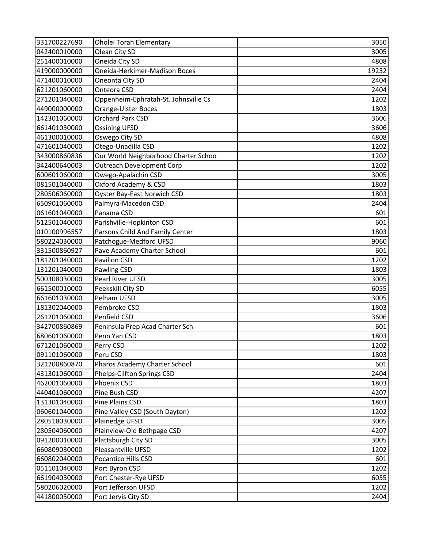| 331700227690 | Oholei Torah Elementary              | 3050  |
|--------------|--------------------------------------|-------|
| 042400010000 | Olean City SD                        | 3005  |
| 251400010000 | Oneida City SD                       | 4808  |
| 419000000000 | Oneida-Herkimer-Madison Boces        | 19232 |
| 471400010000 | Oneonta City SD                      | 2404  |
| 621201060000 | <b>Onteora CSD</b>                   | 2404  |
| 271201040000 | Oppenheim-Ephratah-St. Johnsville Cs | 1202  |
| 449000000000 | Orange-Ulster Boces                  | 1803  |
| 142301060000 | Orchard Park CSD                     | 3606  |
| 661401030000 | <b>Ossining UFSD</b>                 | 3606  |
| 461300010000 | Oswego City SD                       | 4808  |
| 471601040000 | Otego-Unadilla CSD                   | 1202  |
| 343000860836 | Our World Neighborhood Charter Schoo | 1202  |
| 342400640003 | <b>Outreach Development Corp</b>     | 1202  |
| 600601060000 | Owego-Apalachin CSD                  | 3005  |
| 081501040000 | Oxford Academy & CSD                 | 1803  |
| 280506060000 | Oyster Bay-East Norwich CSD          | 1803  |
| 650901060000 | Palmyra-Macedon CSD                  | 2404  |
| 061601040000 | Panama CSD                           | 601   |
| 512501040000 | Parishville-Hopkinton CSD            | 601   |
| 010100996557 | Parsons Child And Family Center      | 1803  |
| 580224030000 | Patchogue-Medford UFSD               | 9060  |
| 331500860927 | Pave Academy Charter School          | 601   |
| 181201040000 | Pavilion CSD                         | 1202  |
| 131201040000 | <b>Pawling CSD</b>                   | 1803  |
| 500308030000 | Pearl River UFSD                     | 3005  |
| 661500010000 | Peekskill City SD                    | 6055  |
| 661601030000 | Pelham UFSD                          | 3005  |
| 181302040000 | Pembroke CSD                         | 1803  |
| 261201060000 | Penfield CSD                         | 3606  |
| 342700860869 | Peninsula Prep Acad Charter Sch      | 601   |
| 680601060000 | Penn Yan CSD                         | 1803  |
| 671201060000 | Perry CSD                            | 1202  |
| 091101060000 | Peru CSD                             | 1803  |
| 321200860870 | Pharos Academy Charter School        | 601   |
| 431301060000 | Phelps-Clifton Springs CSD           | 2404  |
| 462001060000 | Phoenix CSD                          | 1803  |
| 440401060000 | Pine Bush CSD                        | 4207  |
| 131301040000 | Pine Plains CSD                      | 1803  |
| 060601040000 | Pine Valley CSD (South Dayton)       | 1202  |
| 280518030000 | Plainedge UFSD                       | 3005  |
| 280504060000 | Plainview-Old Bethpage CSD           | 4207  |
| 091200010000 | Plattsburgh City SD                  | 3005  |
| 660809030000 | Pleasantville UFSD                   | 1202  |
| 660802040000 | Pocantico Hills CSD                  | 601   |
| 051101040000 | Port Byron CSD                       | 1202  |
| 661904030000 | Port Chester-Rye UFSD                | 6055  |
| 580206020000 | Port Jefferson UFSD                  | 1202  |
| 441800050000 | Port Jervis City SD                  | 2404  |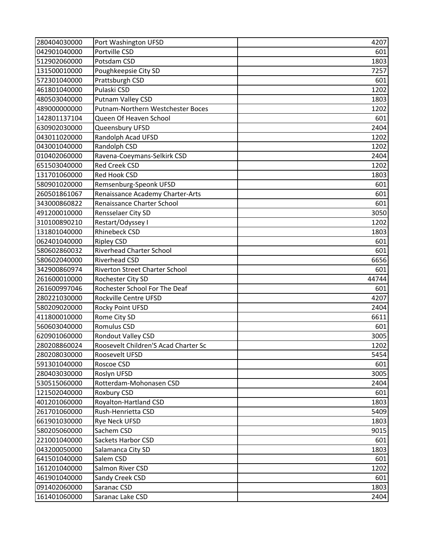| 280404030000 | Port Washington UFSD                 | 4207  |
|--------------|--------------------------------------|-------|
| 042901040000 | Portville CSD                        | 601   |
| 512902060000 | Potsdam CSD                          | 1803  |
| 131500010000 | Poughkeepsie City SD                 | 7257  |
| 572301040000 | Prattsburgh CSD                      | 601   |
| 461801040000 | Pulaski CSD                          | 1202  |
| 480503040000 | Putnam Valley CSD                    | 1803  |
| 489000000000 | Putnam-Northern Westchester Boces    | 1202  |
| 142801137104 | Queen Of Heaven School               | 601   |
| 630902030000 | Queensbury UFSD                      | 2404  |
| 043011020000 | Randolph Acad UFSD                   | 1202  |
| 043001040000 | Randolph CSD                         | 1202  |
| 010402060000 | Ravena-Coeymans-Selkirk CSD          | 2404  |
| 651503040000 | Red Creek CSD                        | 1202  |
| 131701060000 | Red Hook CSD                         | 1803  |
| 580901020000 | Remsenburg-Speonk UFSD               | 601   |
| 260501861067 | Renaissance Academy Charter-Arts     | 601   |
| 343000860822 | Renaissance Charter School           | 601   |
| 491200010000 | Rensselaer City SD                   | 3050  |
| 310100890210 | Restart/Odyssey I                    | 1202  |
| 131801040000 | <b>Rhinebeck CSD</b>                 | 1803  |
| 062401040000 | <b>Ripley CSD</b>                    | 601   |
| 580602860032 | <b>Riverhead Charter School</b>      | 601   |
| 580602040000 | <b>Riverhead CSD</b>                 | 6656  |
| 342900860974 | Riverton Street Charter School       | 601   |
| 261600010000 | Rochester City SD                    | 44744 |
| 261600997046 | Rochester School For The Deaf        | 601   |
| 280221030000 | Rockville Centre UFSD                | 4207  |
| 580209020000 | Rocky Point UFSD                     | 2404  |
| 411800010000 | Rome City SD                         | 6611  |
| 560603040000 | Romulus CSD                          | 601   |
| 620901060000 | Rondout Valley CSD                   | 3005  |
| 280208860024 | Roosevelt Children'S Acad Charter Sc | 1202  |
| 280208030000 | Roosevelt UFSD                       | 5454  |
| 591301040000 | Roscoe CSD                           | 601   |
| 280403030000 | Roslyn UFSD                          | 3005  |
| 530515060000 | Rotterdam-Mohonasen CSD              | 2404  |
| 121502040000 | Roxbury CSD                          | 601   |
| 401201060000 | Royalton-Hartland CSD                | 1803  |
| 261701060000 | Rush-Henrietta CSD                   | 5409  |
| 661901030000 | Rye Neck UFSD                        | 1803  |
| 580205060000 | Sachem CSD                           | 9015  |
| 221001040000 | <b>Sackets Harbor CSD</b>            | 601   |
| 043200050000 | Salamanca City SD                    | 1803  |
| 641501040000 | Salem CSD                            | 601   |
| 161201040000 | Salmon River CSD                     | 1202  |
| 461901040000 | Sandy Creek CSD                      | 601   |
| 091402060000 | Saranac CSD                          | 1803  |
| 161401060000 | Saranac Lake CSD                     | 2404  |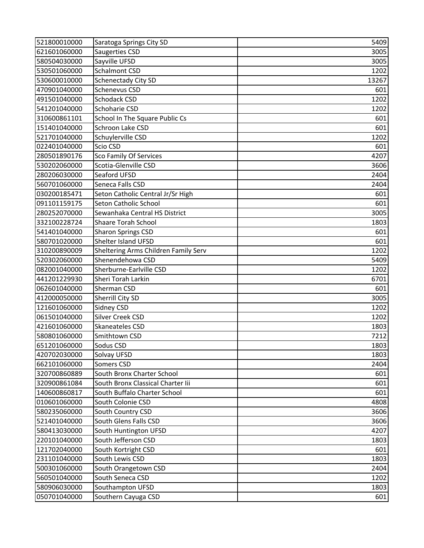| 521800010000 | Saratoga Springs City SD             | 5409  |
|--------------|--------------------------------------|-------|
| 621601060000 | Saugerties CSD                       | 3005  |
| 580504030000 | Sayville UFSD                        | 3005  |
| 530501060000 | Schalmont CSD                        | 1202  |
| 530600010000 | Schenectady City SD                  | 13267 |
| 470901040000 | Schenevus CSD                        | 601   |
| 491501040000 | Schodack CSD                         | 1202  |
| 541201040000 | Schoharie CSD                        | 1202  |
| 310600861101 | School In The Square Public Cs       | 601   |
| 151401040000 | Schroon Lake CSD                     | 601   |
| 521701040000 | Schuylerville CSD                    | 1202  |
| 022401040000 | Scio CSD                             | 601   |
| 280501890176 | Sco Family Of Services               | 4207  |
| 530202060000 | Scotia-Glenville CSD                 | 3606  |
| 280206030000 | Seaford UFSD                         | 2404  |
| 560701060000 | Seneca Falls CSD                     | 2404  |
| 030200185471 | Seton Catholic Central Jr/Sr High    | 601   |
| 091101159175 | Seton Catholic School                | 601   |
| 280252070000 | Sewanhaka Central HS District        | 3005  |
| 332100228724 | Shaare Torah School                  | 1803  |
| 541401040000 | <b>Sharon Springs CSD</b>            | 601   |
| 580701020000 | Shelter Island UFSD                  | 601   |
| 310200890009 | Sheltering Arms Children Family Serv | 1202  |
| 520302060000 | Shenendehowa CSD                     | 5409  |
| 082001040000 | Sherburne-Earlville CSD              | 1202  |
| 441201229930 | Sheri Torah Larkin                   | 6701  |
| 062601040000 | Sherman CSD                          | 601   |
| 412000050000 | Sherrill City SD                     | 3005  |
| 121601060000 | <b>Sidney CSD</b>                    | 1202  |
| 061501040000 | Silver Creek CSD                     | 1202  |
| 421601060000 | Skaneateles CSD                      | 1803  |
| 580801060000 | Smithtown CSD                        | 7212  |
| 651201060000 | Sodus CSD                            | 1803  |
| 420702030000 | Solvay UFSD                          | 1803  |
| 662101060000 | Somers CSD                           | 2404  |
| 320700860889 | South Bronx Charter School           | 601   |
| 320900861084 | South Bronx Classical Charter Iii    | 601   |
| 140600860817 | South Buffalo Charter School         | 601   |
| 010601060000 | South Colonie CSD                    | 4808  |
| 580235060000 | South Country CSD                    | 3606  |
| 521401040000 | South Glens Falls CSD                | 3606  |
| 580413030000 | South Huntington UFSD                | 4207  |
| 220101040000 | South Jefferson CSD                  | 1803  |
| 121702040000 | South Kortright CSD                  | 601   |
| 231101040000 | South Lewis CSD                      | 1803  |
| 500301060000 | South Orangetown CSD                 | 2404  |
| 560501040000 | South Seneca CSD                     | 1202  |
| 580906030000 | Southampton UFSD                     | 1803  |
| 050701040000 | Southern Cayuga CSD                  | 601   |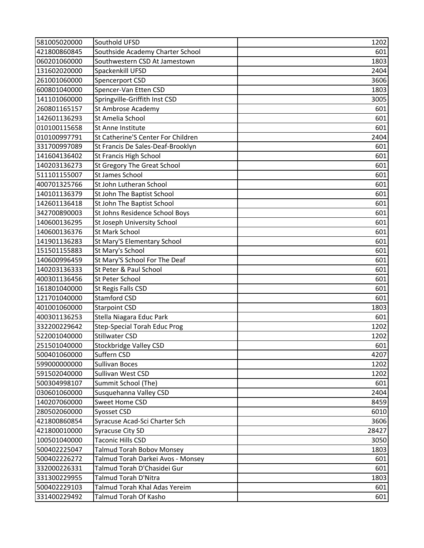| 581005020000 | Southold UFSD                       | 1202  |
|--------------|-------------------------------------|-------|
| 421800860845 | Southside Academy Charter School    | 601   |
| 060201060000 | Southwestern CSD At Jamestown       | 1803  |
| 131602020000 | Spackenkill UFSD                    | 2404  |
| 261001060000 | Spencerport CSD                     | 3606  |
| 600801040000 | Spencer-Van Etten CSD               | 1803  |
| 141101060000 | Springville-Griffith Inst CSD       | 3005  |
| 260801165157 | St Ambrose Academy                  | 601   |
| 142601136293 | St Amelia School                    | 601   |
| 010100115658 | St Anne Institute                   | 601   |
| 010100997791 | St Catherine'S Center For Children  | 2404  |
| 331700997089 | St Francis De Sales-Deaf-Brooklyn   | 601   |
| 141604136402 | St Francis High School              | 601   |
| 140203136273 | St Gregory The Great School         | 601   |
| 511101155007 | <b>St James School</b>              | 601   |
| 400701325766 | St John Lutheran School             | 601   |
| 140101136379 | St John The Baptist School          | 601   |
| 142601136418 | St John The Baptist School          | 601   |
| 342700890003 | St Johns Residence School Boys      | 601   |
| 140600136295 | St Joseph University School         | 601   |
| 140600136376 | St Mark School                      | 601   |
| 141901136283 | St Mary'S Elementary School         | 601   |
| 151501155883 | St Mary's School                    | 601   |
| 140600996459 | St Mary'S School For The Deaf       | 601   |
| 140203136333 | St Peter & Paul School              | 601   |
| 400301136456 | St Peter School                     | 601   |
| 161801040000 | St Regis Falls CSD                  | 601   |
| 121701040000 | <b>Stamford CSD</b>                 | 601   |
| 401001060000 | <b>Starpoint CSD</b>                | 1803  |
| 400301136253 | Stella Niagara Educ Park            | 601   |
| 332200229642 | <b>Step-Special Torah Educ Prog</b> | 1202  |
| 522001040000 | <b>Stillwater CSD</b>               | 1202  |
| 251501040000 | Stockbridge Valley CSD              | 601   |
| 500401060000 | Suffern CSD                         | 4207  |
| 599000000000 | Sullivan Boces                      | 1202  |
| 591502040000 | Sullivan West CSD                   | 1202  |
| 500304998107 | Summit School (The)                 | 601   |
| 030601060000 | Susquehanna Valley CSD              | 2404  |
| 140207060000 | Sweet Home CSD                      | 8459  |
| 280502060000 | Syosset CSD                         | 6010  |
| 421800860854 | Syracuse Acad-Sci Charter Sch       | 3606  |
| 421800010000 | Syracuse City SD                    | 28427 |
| 100501040000 | Taconic Hills CSD                   | 3050  |
| 500402225047 | Talmud Torah Bobov Monsey           | 1803  |
| 500402226272 | Talmud Torah Darkei Avos - Monsey   | 601   |
| 332000226331 | Talmud Torah D'Chasidei Gur         | 601   |
| 331300229955 | Talmud Torah D'Nitra                | 1803  |
| 500402229103 | Talmud Torah Khal Adas Yereim       | 601   |
| 331400229492 | Talmud Torah Of Kasho               | 601   |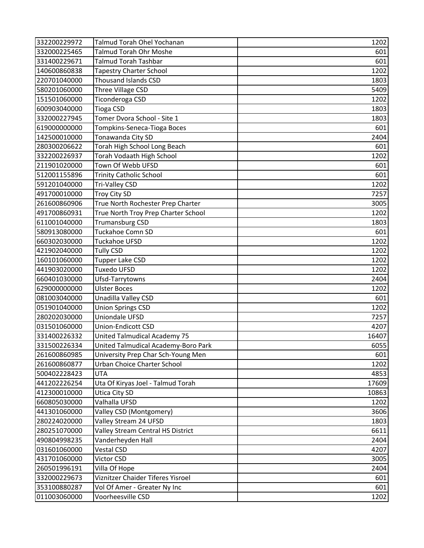| 332200229972 | Talmud Torah Ohel Yochanan          | 1202  |
|--------------|-------------------------------------|-------|
| 332000225465 | Talmud Torah Ohr Moshe              | 601   |
| 331400229671 | <b>Talmud Torah Tashbar</b>         | 601   |
| 140600860838 | <b>Tapestry Charter School</b>      | 1202  |
| 220701040000 | <b>Thousand Islands CSD</b>         | 1803  |
| 580201060000 | Three Village CSD                   | 5409  |
| 151501060000 | Ticonderoga CSD                     | 1202  |
| 600903040000 | <b>Tioga CSD</b>                    | 1803  |
| 332000227945 | Tomer Dvora School - Site 1         | 1803  |
| 619000000000 | Tompkins-Seneca-Tioga Boces         | 601   |
| 142500010000 | Tonawanda City SD                   | 2404  |
| 280300206622 | Torah High School Long Beach        | 601   |
| 332200226937 | Torah Vodaath High School           | 1202  |
| 211901020000 | Town Of Webb UFSD                   | 601   |
| 512001155896 | <b>Trinity Catholic School</b>      | 601   |
| 591201040000 | Tri-Valley CSD                      | 1202  |
| 491700010000 | Troy City SD                        | 7257  |
| 261600860906 | True North Rochester Prep Charter   | 3005  |
| 491700860931 | True North Troy Prep Charter School | 1202  |
| 611001040000 | <b>Trumansburg CSD</b>              | 1803  |
| 580913080000 | Tuckahoe Comn SD                    | 601   |
| 660302030000 | Tuckahoe UFSD                       | 1202  |
| 421902040000 | <b>Tully CSD</b>                    | 1202  |
| 160101060000 | Tupper Lake CSD                     | 1202  |
| 441903020000 | <b>Tuxedo UFSD</b>                  | 1202  |
| 660401030000 | Ufsd-Tarrytowns                     | 2404  |
| 629000000000 | <b>Ulster Boces</b>                 | 1202  |
| 081003040000 | Unadilla Valley CSD                 | 601   |
| 051901040000 | <b>Union Springs CSD</b>            | 1202  |
| 280202030000 | Uniondale UFSD                      | 7257  |
| 031501060000 | <b>Union-Endicott CSD</b>           | 4207  |
| 331400226332 | <b>United Talmudical Academy 75</b> | 16407 |
| 331500226334 | United Talmudical Academy-Boro Park | 6055  |
| 261600860985 | University Prep Char Sch-Young Men  | 601   |
| 261600860877 | <b>Urban Choice Charter School</b>  | 1202  |
| 500402228423 | <b>UTA</b>                          | 4853  |
| 441202226254 | Uta Of Kiryas Joel - Talmud Torah   | 17609 |
| 412300010000 | <b>Utica City SD</b>                | 10863 |
| 660805030000 | Valhalla UFSD                       | 1202  |
| 441301060000 | Valley CSD (Montgomery)             | 3606  |
| 280224020000 | Valley Stream 24 UFSD               | 1803  |
| 280251070000 | Valley Stream Central HS District   | 6611  |
| 490804998235 | Vanderheyden Hall                   | 2404  |
| 031601060000 | Vestal CSD                          | 4207  |
| 431701060000 | Victor CSD                          | 3005  |
| 260501996191 | Villa Of Hope                       | 2404  |
| 332000229673 | Viznitzer Chaider Tiferes Yisroel   | 601   |
| 353100880287 | Vol Of Amer - Greater Ny Inc        | 601   |
| 011003060000 | Voorheesville CSD                   | 1202  |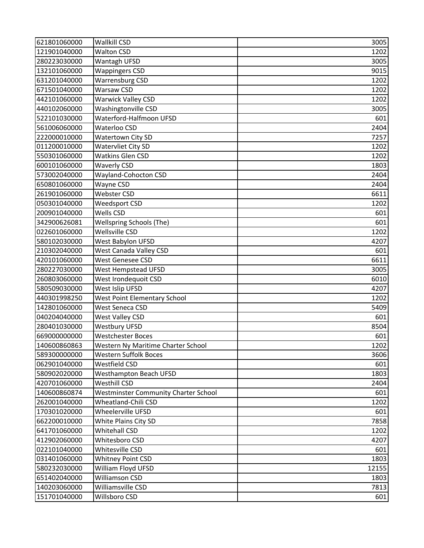| 621801060000 | <b>Wallkill CSD</b>                         | 3005  |
|--------------|---------------------------------------------|-------|
| 121901040000 | <b>Walton CSD</b>                           | 1202  |
| 280223030000 | Wantagh UFSD                                | 3005  |
| 132101060000 | <b>Wappingers CSD</b>                       | 9015  |
| 631201040000 | Warrensburg CSD                             | 1202  |
| 671501040000 | Warsaw CSD                                  | 1202  |
| 442101060000 | <b>Warwick Valley CSD</b>                   | 1202  |
| 440102060000 | Washingtonville CSD                         | 3005  |
| 522101030000 | Waterford-Halfmoon UFSD                     | 601   |
| 561006060000 | Waterloo CSD                                | 2404  |
| 222000010000 | <b>Watertown City SD</b>                    | 7257  |
| 011200010000 | Watervliet City SD                          | 1202  |
| 550301060000 | <b>Watkins Glen CSD</b>                     | 1202  |
| 600101060000 | <b>Waverly CSD</b>                          | 1803  |
| 573002040000 | Wayland-Cohocton CSD                        | 2404  |
| 650801060000 | Wayne CSD                                   | 2404  |
| 261901060000 | Webster CSD                                 | 6611  |
| 050301040000 | Weedsport CSD                               | 1202  |
| 200901040000 | Wells CSD                                   | 601   |
| 342900626081 | <b>Wellspring Schools (The)</b>             | 601   |
| 022601060000 | Wellsville CSD                              | 1202  |
| 580102030000 | West Babylon UFSD                           | 4207  |
| 210302040000 | West Canada Valley CSD                      | 601   |
| 420101060000 | West Genesee CSD                            | 6611  |
| 280227030000 | West Hempstead UFSD                         | 3005  |
| 260803060000 | West Irondequoit CSD                        | 6010  |
| 580509030000 | West Islip UFSD                             | 4207  |
| 440301998250 | <b>West Point Elementary School</b>         | 1202  |
| 142801060000 | West Seneca CSD                             | 5409  |
| 040204040000 | West Valley CSD                             | 601   |
| 280401030000 | <b>Westbury UFSD</b>                        | 8504  |
| 669000000000 | Westchester Boces                           | 601   |
| 140600860863 | Western Ny Maritime Charter School          | 1202  |
| 589300000000 | Western Suffolk Boces                       | 3606  |
| 062901040000 | Westfield CSD                               | 601   |
| 580902020000 | <b>Westhampton Beach UFSD</b>               | 1803  |
| 420701060000 | Westhill CSD                                | 2404  |
| 140600860874 | <b>Westminster Community Charter School</b> | 601   |
| 262001040000 | Wheatland-Chili CSD                         | 1202  |
| 170301020000 | Wheelerville UFSD                           | 601   |
| 662200010000 | White Plains City SD                        | 7858  |
| 641701060000 | Whitehall CSD                               | 1202  |
| 412902060000 | Whitesboro CSD                              | 4207  |
| 022101040000 | Whitesville CSD                             | 601   |
| 031401060000 | <b>Whitney Point CSD</b>                    | 1803  |
| 580232030000 | William Floyd UFSD                          | 12155 |
| 651402040000 | Williamson CSD                              | 1803  |
| 140203060000 | Williamsville CSD                           | 7813  |
| 151701040000 | Willsboro CSD                               | 601   |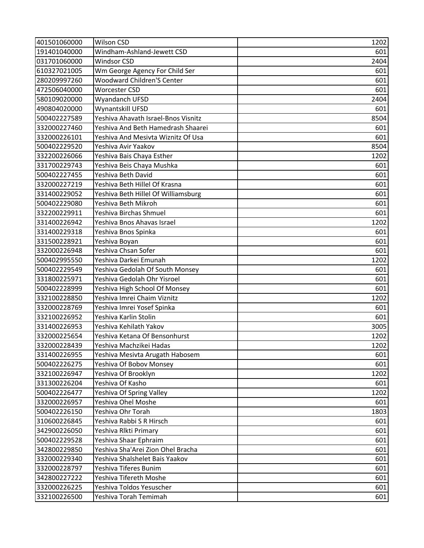| 401501060000 | <b>Wilson CSD</b>                   | 1202 |
|--------------|-------------------------------------|------|
| 191401040000 | Windham-Ashland-Jewett CSD          | 601  |
| 031701060000 | Windsor CSD                         | 2404 |
| 610327021005 | Wm George Agency For Child Ser      | 601  |
| 280209997260 | <b>Woodward Children'S Center</b>   | 601  |
| 472506040000 | <b>Worcester CSD</b>                | 601  |
| 580109020000 | Wyandanch UFSD                      | 2404 |
| 490804020000 | Wynantskill UFSD                    | 601  |
| 500402227589 | Yeshiva Ahavath Israel-Bnos Visnitz | 8504 |
| 332000227460 | Yeshiva And Beth Hamedrash Shaarei  | 601  |
| 332000226101 | Yeshiva And Mesivta Wiznitz Of Usa  | 601  |
| 500402229520 | Yeshiva Avir Yaakov                 | 8504 |
| 332200226066 | Yeshiva Bais Chaya Esther           | 1202 |
| 331700229743 | Yeshiva Beis Chaya Mushka           | 601  |
| 500402227455 | Yeshiva Beth David                  | 601  |
| 332000227219 | Yeshiva Beth Hillel Of Krasna       | 601  |
| 331400229052 | Yeshiva Beth Hillel Of Williamsburg | 601  |
| 500402229080 | Yeshiva Beth Mikroh                 | 601  |
| 332200229911 | Yeshiva Birchas Shmuel              | 601  |
| 331400226942 | Yeshiva Bnos Ahavas Israel          | 1202 |
| 331400229318 | Yeshiva Bnos Spinka                 | 601  |
| 331500228921 | Yeshiva Boyan                       | 601  |
| 332000226948 | Yeshiva Chsan Sofer                 | 601  |
| 500402995550 | Yeshiva Darkei Emunah               | 1202 |
| 500402229549 | Yeshiva Gedolah Of South Monsey     | 601  |
| 331800225971 | Yeshiva Gedolah Ohr Yisroel         | 601  |
| 500402228999 | Yeshiva High School Of Monsey       | 601  |
| 332100228850 | Yeshiva Imrei Chaim Viznitz         | 1202 |
| 332000228769 | Yeshiva Imrei Yosef Spinka          | 601  |
| 332100226952 | Yeshiya Karlin Stolin               | 601  |
| 331400226953 | Yeshiva Kehilath Yakov              | 3005 |
| 332000225654 | Yeshiva Ketana Of Bensonhurst       | 1202 |
| 332000228439 | Yeshiva Machzikei Hadas             | 1202 |
| 331400226955 | Yeshiva Mesivta Arugath Habosem     | 601  |
| 500402226275 | Yeshiva Of Bobov Monsey             | 601  |
| 332100226947 | Yeshiva Of Brooklyn                 | 1202 |
| 331300226204 | Yeshiva Of Kasho                    | 601  |
| 500402226477 | Yeshiva Of Spring Valley            | 1202 |
| 332000226957 | Yeshiva Ohel Moshe                  | 601  |
| 500402226150 | Yeshiva Ohr Torah                   | 1803 |
| 310600226845 | Yeshiva Rabbi S R Hirsch            | 601  |
| 342900226050 | Yeshiva Rlkti Primary               | 601  |
| 500402229528 | Yeshiva Shaar Ephraim               | 601  |
| 342800229850 | Yeshiva Sha'Arei Zion Ohel Bracha   | 601  |
| 332000229340 | Yeshiva Shalshelet Bais Yaakov      | 601  |
| 332000228797 | Yeshiva Tiferes Bunim               | 601  |
| 342800227222 | Yeshiva Tifereth Moshe              | 601  |
| 332000226225 | Yeshiva Toldos Yesuscher            | 601  |
| 332100226500 | Yeshiva Torah Temimah               | 601  |